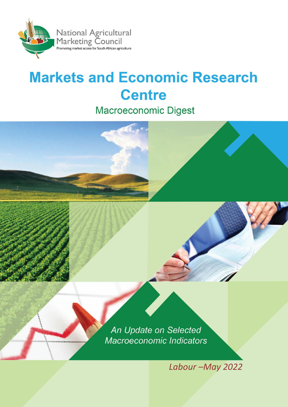

# **Markets and Economic Research Centre**

**Macroeconomic Digest** 

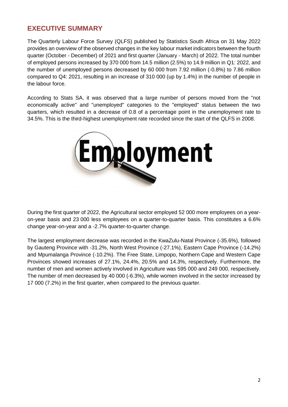## **EXECUTIVE SUMMARY**

The Quarterly Labour Force Survey (QLFS) published by Statistics South Africa on 31 May 2022 provides an overview of the observed changes in the key labour market indicators between the fourth quarter (October - December) of 2021 and first quarter (January - March) of 2022. The total number of employed persons increased by 370 000 from 14.5 million (2.5%) to 14.9 million in Q1: 2022, and the number of unemployed persons decreased by 60 000 from 7.92 million (-0.8%) to 7.86 million compared to Q4: 2021, resulting in an increase of 310 000 (up by 1.4%) in the number of people in the labour force.

According to Stats SA, it was observed that a large number of persons moved from the "not economically active" and "unemployed" categories to the "employed" status between the two quarters, which resulted in a decrease of 0.8 of a percentage point in the unemployment rate to 34.5%. This is the third-highest unemployment rate recorded since the start of the QLFS in 2008.



During the first quarter of 2022, the Agricultural sector employed 52 000 more employees on a yearon-year basis and 23 000 less employees on a quarter-to-quarter basis. This constitutes a 6.6% change year-on-year and a -2.7% quarter-to-quarter change.

The largest employment decrease was recorded in the KwaZulu-Natal Province (-35.6%), followed by Gauteng Province with -31.2%, North West Province (-27.1%), Eastern Cape Province (-14.2%) and Mpumalanga Province (-10.2%). The Free State, Limpopo, Northern Cape and Western Cape Provinces showed increases of 27.1%, 24.4%, 20.5% and 14.3%, respectively. Furthermore, the number of men and women actively involved in Agriculture was 595 000 and 249 000, respectively. The number of men decreased by 40 000 (-6.3%), while women involved in the sector increased by 17 000 (7.2%) in the first quarter, when compared to the previous quarter.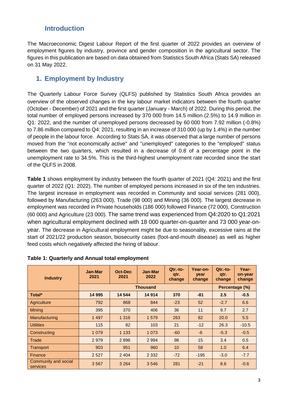## **Introduction**

The Macroeconomic Digest Labour Report of the first quarter of 2022 provides an overview of employment figures by industry, province and gender composition in the agricultural sector. The figures in this publication are based on data obtained from Statistics South Africa (Stats SA) released on 31 May 2022.

## **1. Employment by Industry**

The Quarterly Labour Force Survey (QLFS) published by Statistics South Africa provides an overview of the observed changes in the key labour market indicators between the fourth quarter (October - December) of 2021 and the first quarter (January - March) of 2022. During this period, the total number of employed persons increased by 370 000 from 14.5 million (2.5%) to 14.9 million in Q1: 2022, and the number of unemployed persons decreased by 60 000 from 7.92 million (-0.8%) to 7.86 million compared to Q4: 2021, resulting in an increase of 310 000 (up by 1.4%) in the number of people in the labour force. According to Stats SA, it was observed that a large number of persons moved from the "not economically active" and "unemployed" categories to the "employed" status between the two quarters, which resulted in a decrease of 0.8 of a percentage point in the unemployment rate to 34.5%. This is the third-highest unemployment rate recorded since the start of the QLFS in 2008.

**Table 1** shows employment by industry between the fourth quarter of 2021 (Q4: 2021) and the first quarter of 2022 (Q1: 2022). The number of employed persons increased in six of the ten industries. The largest increase in employment was recorded in Community and social services (281 000), followed by Manufacturing (263 000), Trade (98 000) and Mining (36 000). The largest decrease in employment was recorded in Private households (186 000) followed Finance (72 000), Construction (60 000) and Agriculture (23 000). The same trend was experienced from Q4:2020 to Q1:2021 when agricultural employment declined with 18 000 quarter-on-quarter and 73 000 year-onyear. The decrease in Agricultural employment might be due to seasonality, excessive rains at the start of 2021/22 production season, biosecurity cases (foot-and-mouth disease) as well as higher feed costs which negatively affected the hiring of labour.

| <b>Industry</b>                  | Jan-Mar<br>2021 | Oct-Dec<br>2021 | Jan-Mar<br>2022 | $Qtr.-to-$<br>qtr.<br>change | Year-on-<br>year<br>change | $Qtr.-to-$<br>qtr.<br>change | Year-<br>on-year<br>change |  |
|----------------------------------|-----------------|-----------------|-----------------|------------------------------|----------------------------|------------------------------|----------------------------|--|
|                                  | <b>Thousand</b> |                 |                 |                              |                            |                              | Percentage (%)             |  |
| Total*                           | 14 995          | 14 544          | 14 914          | 370                          | $-81$                      | 2.5                          | $-0.5$                     |  |
| Agriculture                      | 792             | 868             | 844             | $-23$                        | 52                         | $-2.7$                       | 6.6                        |  |
| <b>Mining</b>                    | 395             | 370             | 406             | 36                           | 11                         | 9.7                          | 2.7                        |  |
| Manufacturing                    | 1 4 9 7         | 1 3 1 6         | 1 579           | 263                          | 82                         | 20.0                         | 5.5                        |  |
| <b>Utilities</b>                 | 115             | 82              | 103             | 21                           | $-12$                      | 26.3                         | $-10.5$                    |  |
| Constructing                     | 1 0 7 9         | 1 1 3 3         | 1 0 7 3         | $-60$                        | $-6$                       | $-5.3$                       | $-0.5$                     |  |
| Trade                            | 2979            | 2896            | 2 9 9 4         | 98                           | 15                         | 3.4                          | 0.5                        |  |
| Transport                        | 903             | 951             | 960             | 10 <sup>1</sup>              | 58                         | 1.0                          | 6.4                        |  |
| Finance                          | 2 5 2 7         | 2 4 0 4         | 2 3 3 2         | $-72$                        | $-195$                     | $-3.0$                       | $-7.7$                     |  |
| Community and social<br>services | 3567            | 3 2 6 4         | 3546            | 281                          | $-21$                      | 8.6                          | $-0.6$                     |  |

## **Table 1: Quarterly and Annual total employment**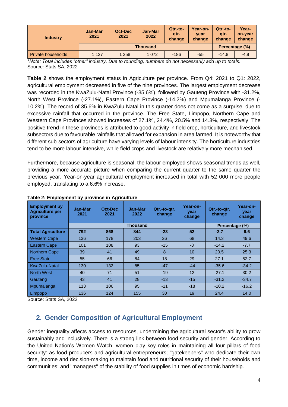| <b>Industry</b>           | <b>Jan-Mar</b><br>2021 | Oct-Dec<br>2021 | Jan-Mar<br>2022 | $Qtr.-to-$<br>gtr.<br>change | Year-on-<br>vear<br>change | $Qtr.-to-$<br>atr.<br>change | Year-<br>on-year<br>change |
|---------------------------|------------------------|-----------------|-----------------|------------------------------|----------------------------|------------------------------|----------------------------|
|                           | <b>Thousand</b>        |                 |                 |                              |                            |                              | Percentage (%)             |
| <b>Private households</b> | 1 1 2 7                | 1 2 5 8         | 1 0 7 2         | $-186$                       | $-55$                      | $-14.8$                      | $-4.9$                     |

*\*Note: Total includes "other" industry. Due to rounding, numbers do not necessarily add up to totals.* Source: Stats SA, 2022

**Table 2** shows the employment status in Agriculture per province. From Q4: 2021 to Q1: 2022, agricultural employment decreased in five of the nine provinces. The largest employment decrease was recorded in the KwaZulu-Natal Province (-35.6%), followed by Gauteng Province with -31.2%, North West Province (-27.1%), Eastern Cape Province (-14.2%) and Mpumalanga Province (- 10.2%). The record of 35.6% in KwaZulu Natal in this quarter does not come as a surprise, due to excessive rainfall that occurred in the province. The Free State, Limpopo, Northern Cape and Western Cape Provinces showed increases of 27.1%, 24.4%, 20.5% and 14.3%, respectively. The positive trend in these provinces is attributed to good activity in field crop, horticulture, and livestock subsectors due to favourable rainfalls that allowed for expansion in area farmed. It is noteworthy that different sub-sectors of agriculture have varying levels of labour intensity. The horticulture industries tend to be more labour-intensive, while field crops and livestock are relatively more mechanised.

Furthermore, because agriculture is seasonal, the labour employed shows seasonal trends as well, providing a more accurate picture when comparing the current quarter to the same quarter the previous year. Year-on-year agricultural employment increased in total with 52 000 more people employed, translating to a 6.6% increase.

| <b>Employment by</b><br><b>Agriculture per</b><br>province | . .<br>Jan-Mar<br>2021 | Oct-Dec<br>2021 | Jan-Mar<br>2022 | Qtr.-to-qtr.<br>change | Year-on-<br>year<br>change | Qtr.-to-gtr.<br>change | Year-on-<br>year<br>change |
|------------------------------------------------------------|------------------------|-----------------|-----------------|------------------------|----------------------------|------------------------|----------------------------|
|                                                            |                        |                 | Percentage (%)  |                        |                            |                        |                            |
| <b>Total Agriculture</b>                                   | 792                    | 868             | 844             | $-23$                  | 52                         | $-2.7$                 | 6.6                        |
| <b>Western Cape</b>                                        | 136                    | 178             | 203             | 26                     | 68                         | 14.3                   | 49.6                       |
| <b>Eastern Cape</b>                                        | 101                    | 108             | 93              | $-15$                  | $-8$                       | $-14.2$                | $-7.7$                     |
| <b>Northern Cape</b>                                       | 39                     | 41              | 49              | 8                      | 10                         | 20.5                   | 25.3                       |
| <b>Free State</b>                                          | 55                     | 66              | 84              | 18                     | 29                         | 27.1                   | 52.7                       |
| KwaZulu-Natal                                              | 130                    | 132             | 85              | $-47$                  | $-44$                      | $-35.6$                | $-34.2$                    |
| <b>North West</b>                                          | 40                     | 71              | 51              | $-19$                  | 12                         | $-27.1$                | 30.2                       |
| Gauteng                                                    | 43                     | 41              | 28              | $-13$                  | $-15$                      | $-31.2$                | $-34.7$                    |
| Mpumalanga                                                 | 113                    | 106             | 95              | $-11$                  | $-18$                      | $-10.2$                | $-16.2$                    |
| <b>Limpopo</b>                                             | 136                    | 124             | 155             | 30                     | 19                         | 24.4                   | 14.0                       |

### **Table 2: Employment by province in Agriculture**

Source: Stats SA, 2022

# **2. Gender Composition of Agricultural Employment**

Gender inequality affects access to resources, undermining the agricultural sector's ability to grow sustainably and inclusively. There is a strong link between food security and gender. According to the United Nation's Women Watch, women play key roles in maintaining all four pillars of food security: as food producers and agricultural entrepreneurs; "gatekeepers" who dedicate their own time, income and decision-making to maintain food and nutritional security of their households and communities; and "managers" of the stability of food supplies in times of economic hardship.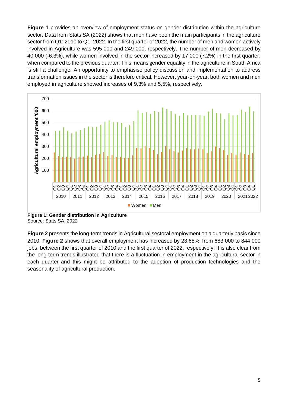**Figure 1** provides an overview of employment status on gender distribution within the agriculture sector. Data from Stats SA (2022) shows that men have been the main participants in the agriculture sector from Q1: 2010 to Q1: 2022. In the first quarter of 2022, the number of men and women actively involved in Agriculture was 595 000 and 249 000, respectively. The number of men decreased by 40 000 (-6.3%), while women involved in the sector increased by 17 000 (7.2%) in the first quarter, when compared to the previous quarter. This means gender equality in the agriculture in South Africa is still a challenge. An opportunity to emphasise policy discussion and implementation to address transformation issues in the sector is therefore critical. However, year-on-year, both women and men employed in agriculture showed increases of 9.3% and 5.5%, respectively.



**Figure 1: Gender distribution in Agriculture** Source: Stats SA, 2022

**Figure 2** presents the long-term trends in Agricultural sectoral employment on a quarterly basis since 2010. **Figure 2** shows that overall employment has increased by 23.68%, from 683 000 to 844 000 jobs, between the first quarter of 2010 and the first quarter of 2022, respectively. It is also clear from the long-term trends illustrated that there is a fluctuation in employment in the agricultural sector in each quarter and this might be attributed to the adoption of production technologies and the seasonality of agricultural production.